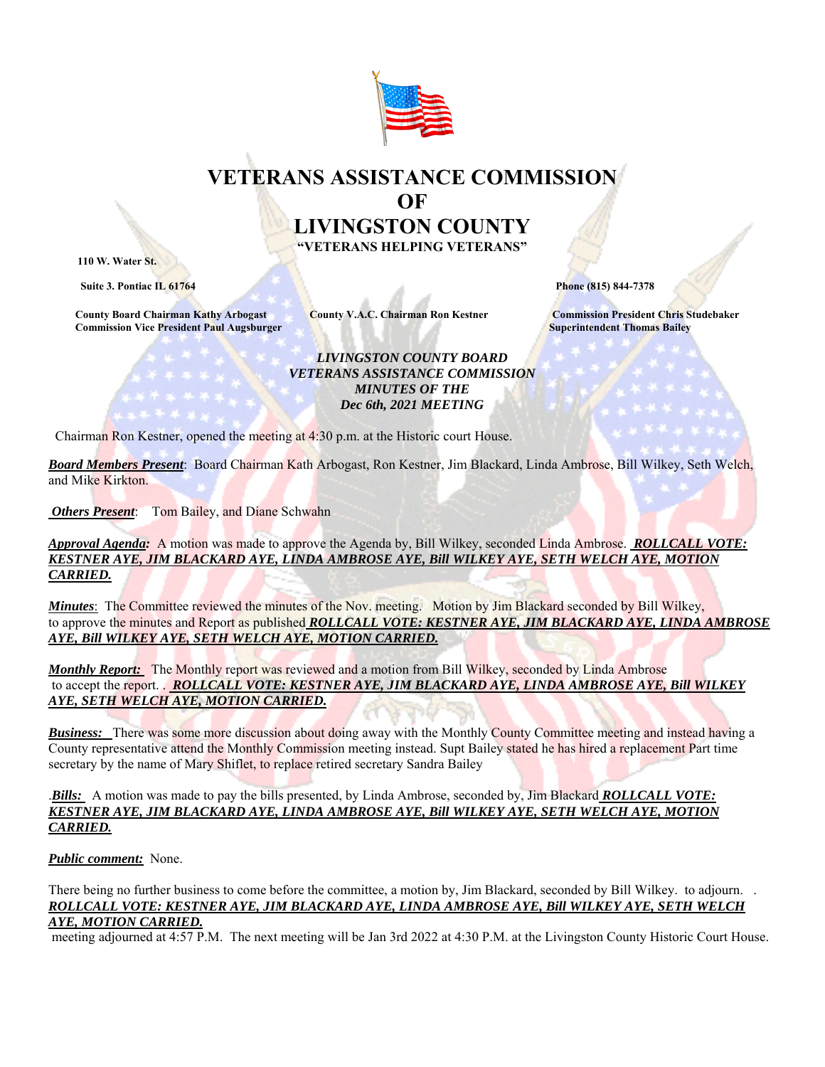

## **VETERANS ASSISTANCE COMMISSION OF LIVINGSTON COUNTY "VETERANS HELPING VETERANS" 110 W. Water St.**

**Suite 3. Pontiac IL 61764 Phone (815) 844-7378** 

 **County Board Chairman Kathy Arbogast County V.A.C. Chairman Ron Kestner Commission President Chris Studebaker Commission Vice President Paul Augsburger Superintendent Thomas Bailey and Superintendent Thomas Bailey** 

## *LIVINGSTON COUNTY BOARD VETERANS ASSISTANCE COMMISSION MINUTES OF THE Dec 6th, 2021 MEETING*

Chairman Ron Kestner, opened the meeting at 4:30 p.m. at the Historic court House.

*Board Members Present*: Board Chairman Kath Arbogast, Ron Kestner, Jim Blackard, Linda Ambrose, Bill Wilkey, Seth Welch, and Mike Kirkton.

 *Others Present*: Tom Bailey, and Diane Schwahn

*Approval Agenda:* A motion was made to approve the Agenda by, Bill Wilkey, seconded Linda Ambrose. *ROLLCALL VOTE: KESTNER AYE, JIM BLACKARD AYE, LINDA AMBROSE AYE, Bill WILKEY AYE, SETH WELCH AYE, MOTION CARRIED.* 

*Minutes*: The Committee reviewed the minutes of the Nov. meeting. Motion by Jim Blackard seconded by Bill Wilkey, to approve the minutes and Report as published *ROLLCALL VOTE: KESTNER AYE, JIM BLACKARD AYE, LINDA AMBROSE AYE, Bill WILKEY AYE, SETH WELCH AYE, MOTION CARRIED.* 

*Monthly Report:* The Monthly report was reviewed and a motion from Bill Wilkey, seconded by Linda Ambrose to accept the report. . *ROLLCALL VOTE: KESTNER AYE, JIM BLACKARD AYE, LINDA AMBROSE AYE, Bill WILKEY AYE, SETH WELCH AYE, MOTION CARRIED.* 

*Business:* There was some more discussion about doing away with the Monthly County Committee meeting and instead having a County representative attend the Monthly Commission meeting instead. Supt Bailey stated he has hired a replacement Part time secretary by the name of Mary Shiflet, to replace retired secretary Sandra Bailey

.*Bills:* A motion was made to pay the bills presented, by Linda Ambrose, seconded by, Jim Blackard *ROLLCALL VOTE: KESTNER AYE, JIM BLACKARD AYE, LINDA AMBROSE AYE, Bill WILKEY AYE, SETH WELCH AYE, MOTION CARRIED.* 

## *Public comment:* None.

There being no further business to come before the committee, a motion by, Jim Blackard, seconded by Bill Wilkey. to adjourn. . *ROLLCALL VOTE: KESTNER AYE, JIM BLACKARD AYE, LINDA AMBROSE AYE, Bill WILKEY AYE, SETH WELCH AYE, MOTION CARRIED.* 

meeting adjourned at 4:57 P.M. The next meeting will be Jan 3rd 2022 at 4:30 P.M. at the Livingston County Historic Court House.